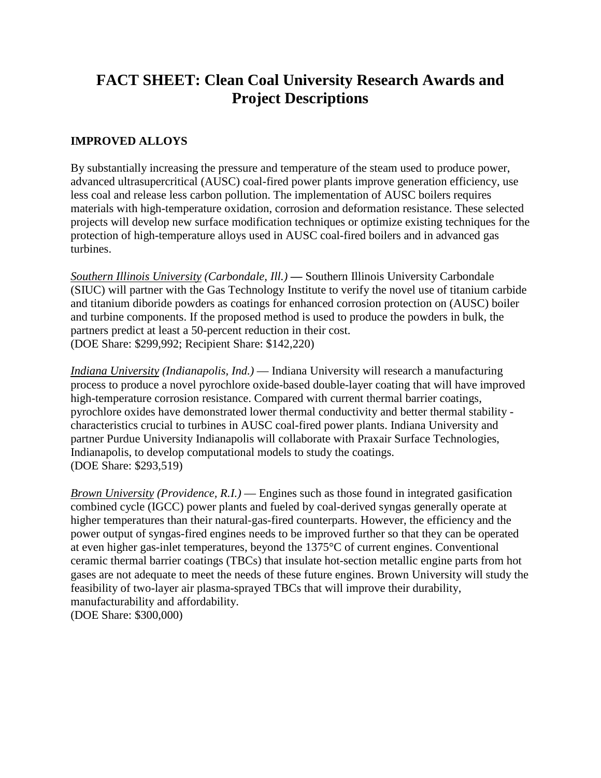## **FACT SHEET: Clean Coal University Research Awards and Project Descriptions**

## **IMPROVED ALLOYS**

By substantially increasing the pressure and temperature of the steam used to produce power, advanced ultrasupercritical (AUSC) coal-fired power plants improve generation efficiency, use less coal and release less carbon pollution. The implementation of AUSC boilers requires materials with high-temperature oxidation, corrosion and deformation resistance. These selected projects will develop new surface modification techniques or optimize existing techniques for the protection of high-temperature alloys used in AUSC coal-fired boilers and in advanced gas turbines.

*Southern Illinois University (Carbondale, Ill.)* **—** Southern Illinois University Carbondale (SIUC) will partner with the Gas Technology Institute to verify the novel use of titanium carbide and titanium diboride powders as coatings for enhanced corrosion protection on (AUSC) boiler and turbine components. If the proposed method is used to produce the powders in bulk, the partners predict at least a 50-percent reduction in their cost. (DOE Share: \$299,992; Recipient Share: \$142,220)

*Indiana University (Indianapolis, Ind.)* — Indiana University will research a manufacturing process to produce a novel pyrochlore oxide-based double-layer coating that will have improved high-temperature corrosion resistance. Compared with current thermal barrier coatings, pyrochlore oxides have demonstrated lower thermal conductivity and better thermal stability characteristics crucial to turbines in AUSC coal-fired power plants. Indiana University and partner Purdue University Indianapolis will collaborate with Praxair Surface Technologies, Indianapolis, to develop computational models to study the coatings. (DOE Share: \$293,519)

*Brown University (Providence, R.I.)* — Engines such as those found in integrated gasification combined cycle (IGCC) power plants and fueled by coal-derived syngas generally operate at higher temperatures than their natural-gas-fired counterparts. However, the efficiency and the power output of syngas-fired engines needs to be improved further so that they can be operated at even higher gas-inlet temperatures, beyond the 1375°C of current engines. Conventional ceramic thermal barrier coatings (TBCs) that insulate hot-section metallic engine parts from hot gases are not adequate to meet the needs of these future engines. Brown University will study the feasibility of two-layer air plasma-sprayed TBCs that will improve their durability, manufacturability and affordability. (DOE Share: \$300,000)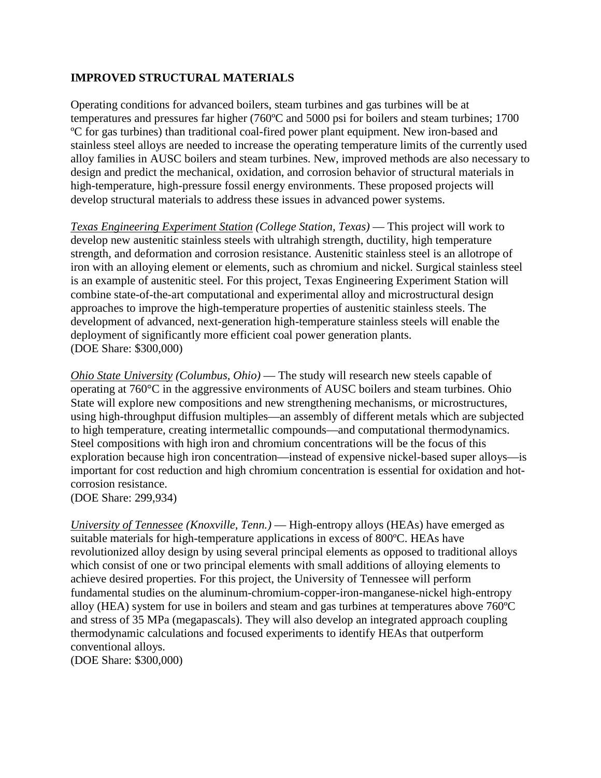## **IMPROVED STRUCTURAL MATERIALS**

Operating conditions for advanced boilers, steam turbines and gas turbines will be at temperatures and pressures far higher (760ºC and 5000 psi for boilers and steam turbines; 1700 ºC for gas turbines) than traditional coal-fired power plant equipment. New iron-based and stainless steel alloys are needed to increase the operating temperature limits of the currently used alloy families in AUSC boilers and steam turbines. New, improved methods are also necessary to design and predict the mechanical, oxidation, and corrosion behavior of structural materials in high-temperature, high-pressure fossil energy environments. These proposed projects will develop structural materials to address these issues in advanced power systems.

*Texas Engineering Experiment Station (College Station, Texas)* — This project will work to develop new austenitic stainless steels with ultrahigh strength, ductility, high temperature strength, and deformation and corrosion resistance. Austenitic stainless steel is an allotrope of iron with an alloying element or elements, such as chromium and nickel. Surgical stainless steel is an example of austenitic steel. For this project, Texas Engineering Experiment Station will combine state-of-the-art computational and experimental alloy and microstructural design approaches to improve the high-temperature properties of austenitic stainless steels. The development of advanced, next-generation high-temperature stainless steels will enable the deployment of significantly more efficient coal power generation plants. (DOE Share: \$300,000)

*Ohio State University (Columbus, Ohio)* — The study will research new steels capable of operating at 760°C in the aggressive environments of AUSC boilers and steam turbines. Ohio State will explore new compositions and new strengthening mechanisms, or microstructures, using high-throughput diffusion multiples—an assembly of different metals which are subjected to high temperature, creating intermetallic compounds—and computational thermodynamics. Steel compositions with high iron and chromium concentrations will be the focus of this exploration because high iron concentration—instead of expensive nickel-based super alloys—is important for cost reduction and high chromium concentration is essential for oxidation and hotcorrosion resistance.

(DOE Share: 299,934)

*University of Tennessee (Knoxville, Tenn.)* — High-entropy alloys (HEAs) have emerged as suitable materials for high-temperature applications in excess of 800ºC. HEAs have revolutionized alloy design by using several principal elements as opposed to traditional alloys which consist of one or two principal elements with small additions of alloying elements to achieve desired properties. For this project, the University of Tennessee will perform fundamental studies on the aluminum-chromium-copper-iron-manganese-nickel high-entropy alloy (HEA) system for use in boilers and steam and gas turbines at temperatures above 760ºC and stress of 35 MPa (megapascals). They will also develop an integrated approach coupling thermodynamic calculations and focused experiments to identify HEAs that outperform conventional alloys. (DOE Share: \$300,000)